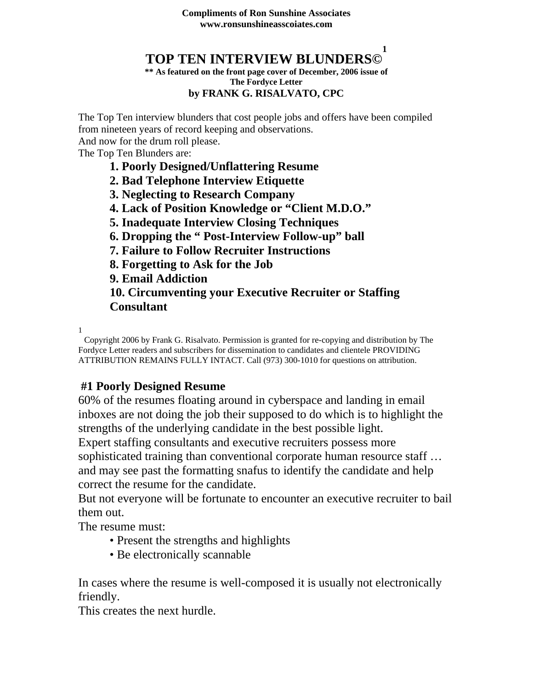#### **TOP TEN INTERVIEW BLUNDERS© 1**

#### **\*\* As featured on the front page cover of December, 2006 issue of The Fordyce Letter by FRANK G. RISALVATO, CPC**

The Top Ten interview blunders that cost people jobs and offers have been compiled from nineteen years of record keeping and observations.

And now for the drum roll please.

The Top Ten Blunders are:

- **1. Poorly Designed/Unflattering Resume**
- **2. Bad Telephone Interview Etiquette**
- **3. Neglecting to Research Company**
- **4. Lack of Position Knowledge or "Client M.D.O."**
- **5. Inadequate Interview Closing Techniques**
- **6. Dropping the " Post-Interview Follow-up" ball**
- **7. Failure to Follow Recruiter Instructions**
- **8. Forgetting to Ask for the Job**
- **9. Email Addiction**

**10. Circumventing your Executive Recruiter or Staffing Consultant** 

1

Copyright 2006 by Frank G. Risalvato. Permission is granted for re-copying and distribution by The Fordyce Letter readers and subscribers for dissemination to candidates and clientele PROVIDING ATTRIBUTION REMAINS FULLY INTACT. Call (973) 300-1010 for questions on attribution.

### **#1 Poorly Designed Resume**

60% of the resumes floating around in cyberspace and landing in email inboxes are not doing the job their supposed to do which is to highlight the strengths of the underlying candidate in the best possible light. Expert staffing consultants and executive recruiters possess more sophisticated training than conventional corporate human resource staff … and may see past the formatting snafus to identify the candidate and help correct the resume for the candidate.

But not everyone will be fortunate to encounter an executive recruiter to bail them out.

The resume must:

- Present the strengths and highlights
- Be electronically scannable

In cases where the resume is well-composed it is usually not electronically friendly.

This creates the next hurdle.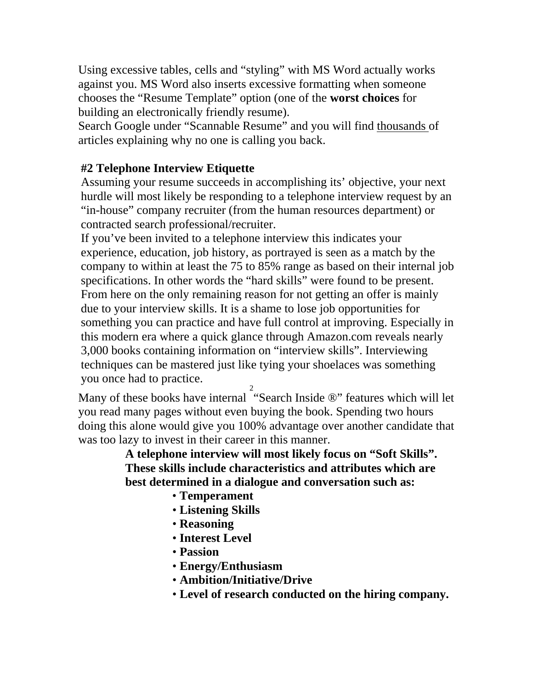Using excessive tables, cells and "styling" with MS Word actually works against you. MS Word also inserts excessive formatting when someone chooses the "Resume Template" option (one of the **worst choices** for building an electronically friendly resume).

Search Google under "Scannable Resume" and you will find thousands of articles explaining why no one is calling you back.

### **#2 Telephone Interview Etiquette**

Assuming your resume succeeds in accomplishing its' objective, your next hurdle will most likely be responding to a telephone interview request by an "in-house" company recruiter (from the human resources department) or contracted search professional/recruiter.

If you've been invited to a telephone interview this indicates your experience, education, job history, as portrayed is seen as a match by the company to within at least the 75 to 85% range as based on their internal job specifications. In other words the "hard skills" were found to be present. From here on the only remaining reason for not getting an offer is mainly due to your interview skills. It is a shame to lose job opportunities for something you can practice and have full control at improving. Especially in this modern era where a quick glance through Amazon.com reveals nearly 3,000 books containing information on "interview skills". Interviewing techniques can be mastered just like tying your shoelaces was something you once had to practice.

Many of these books have internal 2 "Search Inside ®" features which will let you read many pages without even buying the book. Spending two hours doing this alone would give you 100% advantage over another candidate that was too lazy to invest in their career in this manner.

**A telephone interview will most likely focus on "Soft Skills". These skills include characteristics and attributes which are best determined in a dialogue and conversation such as:** 

- **Temperament**
- **Listening Skills**
- **Reasoning**
- **Interest Level**
- **Passion**
- **Energy/Enthusiasm**
- **Ambition/Initiative/Drive**
- **Level of research conducted on the hiring company.**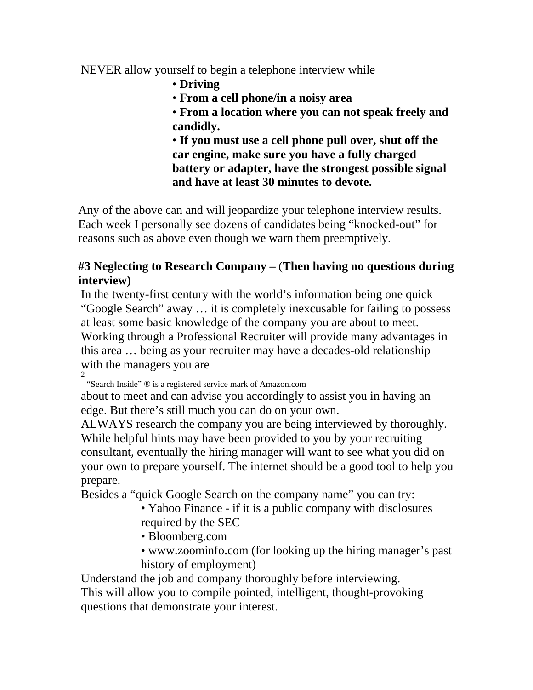NEVER allow yourself to begin a telephone interview while

- **Driving**
- **From a cell phone/in a noisy area**
- **From a location where you can not speak freely and candidly.**

• **If you must use a cell phone pull over, shut off the car engine, make sure you have a fully charged battery or adapter, have the strongest possible signal and have at least 30 minutes to devote.** 

Any of the above can and will jeopardize your telephone interview results. Each week I personally see dozens of candidates being "knocked-out" for reasons such as above even though we warn them preemptively.

## **#3 Neglecting to Research Company –** (**Then having no questions during interview)**

In the twenty-first century with the world's information being one quick "Google Search" away … it is completely inexcusable for failing to possess at least some basic knowledge of the company you are about to meet. Working through a Professional Recruiter will provide many advantages in this area … being as your recruiter may have a decades-old relationship with the managers you are 2

"Search Inside" ® is a registered service mark of Amazon.com

about to meet and can advise you accordingly to assist you in having an edge. But there's still much you can do on your own.

ALWAYS research the company you are being interviewed by thoroughly. While helpful hints may have been provided to you by your recruiting consultant, eventually the hiring manager will want to see what you did on your own to prepare yourself. The internet should be a good tool to help you prepare.

Besides a "quick Google Search on the company name" you can try:

• Yahoo Finance - if it is a public company with disclosures required by the SEC

- Bloomberg.com
- www.zoominfo.com (for looking up the hiring manager's past history of employment)

Understand the job and company thoroughly before interviewing. This will allow you to compile pointed, intelligent, thought-provoking questions that demonstrate your interest.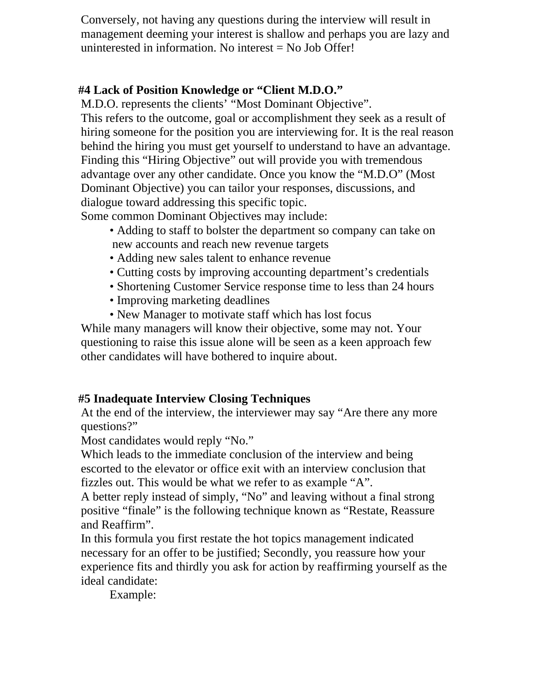Conversely, not having any questions during the interview will result in management deeming your interest is shallow and perhaps you are lazy and uninterested in information. No interest = No Job Offer!

#### **#4 Lack of Position Knowledge or "Client M.D.O."**

M.D.O. represents the clients' "Most Dominant Objective".

This refers to the outcome, goal or accomplishment they seek as a result of hiring someone for the position you are interviewing for. It is the real reason behind the hiring you must get yourself to understand to have an advantage. Finding this "Hiring Objective" out will provide you with tremendous advantage over any other candidate. Once you know the "M.D.O" (Most Dominant Objective) you can tailor your responses, discussions, and dialogue toward addressing this specific topic.

Some common Dominant Objectives may include:

- Adding to staff to bolster the department so company can take on new accounts and reach new revenue targets
- Adding new sales talent to enhance revenue
- Cutting costs by improving accounting department's credentials
- Shortening Customer Service response time to less than 24 hours
- Improving marketing deadlines
- New Manager to motivate staff which has lost focus

While many managers will know their objective, some may not. Your questioning to raise this issue alone will be seen as a keen approach few other candidates will have bothered to inquire about.

### **#5 Inadequate Interview Closing Techniques**

At the end of the interview, the interviewer may say "Are there any more questions?"

Most candidates would reply "No."

Which leads to the immediate conclusion of the interview and being escorted to the elevator or office exit with an interview conclusion that fizzles out. This would be what we refer to as example "A".

A better reply instead of simply, "No" and leaving without a final strong positive "finale" is the following technique known as "Restate, Reassure and Reaffirm".

In this formula you first restate the hot topics management indicated necessary for an offer to be justified; Secondly, you reassure how your experience fits and thirdly you ask for action by reaffirming yourself as the ideal candidate:

Example: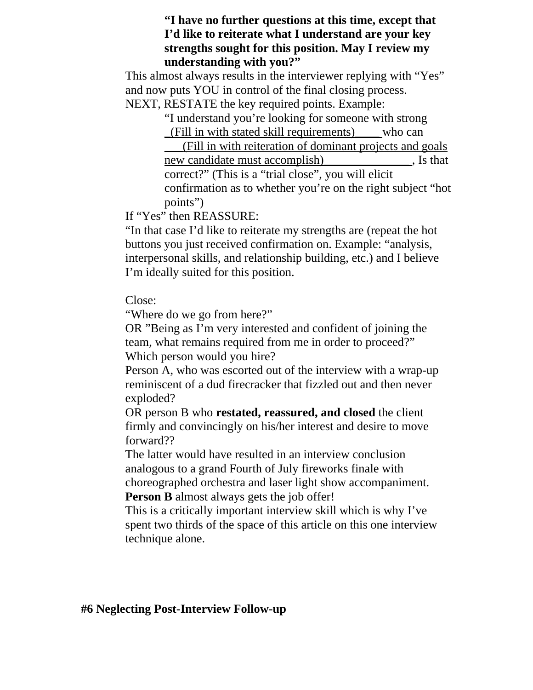#### **"I have no further questions at this time, except that I'd like to reiterate what I understand are your key strengths sought for this position. May I review my understanding with you?"**

This almost always results in the interviewer replying with "Yes" and now puts YOU in control of the final closing process. NEXT, RESTATE the key required points. Example:

> "I understand you're looking for someone with strong \_(Fill in with stated skill requirements)\_\_\_\_ who can

\_\_\_(Fill in with reiteration of dominant projects and goals new candidate must accomplish) states. Is that correct?" (This is a "trial close", you will elicit confirmation as to whether you're on the right subject "hot points")

If "Yes" then REASSURE:

"In that case I'd like to reiterate my strengths are (repeat the hot buttons you just received confirmation on. Example: "analysis, interpersonal skills, and relationship building, etc.) and I believe I'm ideally suited for this position.

#### Close:

"Where do we go from here?"

OR "Being as I'm very interested and confident of joining the team, what remains required from me in order to proceed?" Which person would you hire?

Person A, who was escorted out of the interview with a wrap-up reminiscent of a dud firecracker that fizzled out and then never exploded?

OR person B who **restated, reassured, and closed** the client firmly and convincingly on his/her interest and desire to move forward??

The latter would have resulted in an interview conclusion analogous to a grand Fourth of July fireworks finale with choreographed orchestra and laser light show accompaniment. **Person B** almost always gets the job offer!

This is a critically important interview skill which is why I've spent two thirds of the space of this article on this one interview technique alone.

#### **#6 Neglecting Post-Interview Follow-up**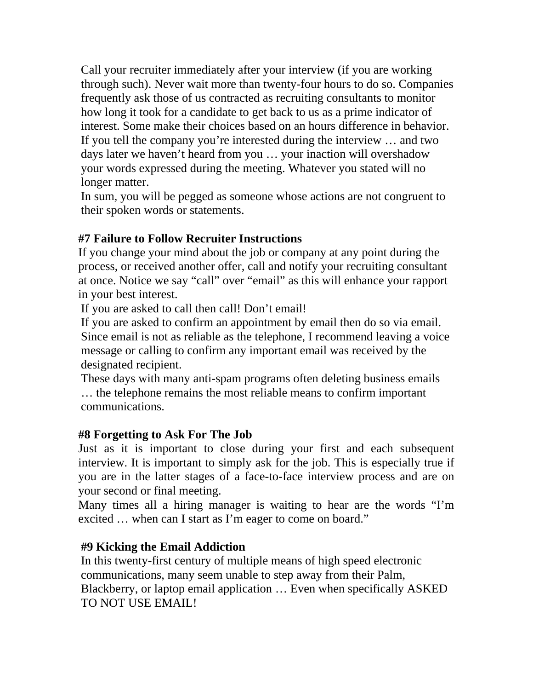Call your recruiter immediately after your interview (if you are working through such). Never wait more than twenty-four hours to do so. Companies frequently ask those of us contracted as recruiting consultants to monitor how long it took for a candidate to get back to us as a prime indicator of interest. Some make their choices based on an hours difference in behavior. If you tell the company you're interested during the interview … and two days later we haven't heard from you … your inaction will overshadow your words expressed during the meeting. Whatever you stated will no longer matter.

In sum, you will be pegged as someone whose actions are not congruent to their spoken words or statements.

### **#7 Failure to Follow Recruiter Instructions**

If you change your mind about the job or company at any point during the process, or received another offer, call and notify your recruiting consultant at once. Notice we say "call" over "email" as this will enhance your rapport in your best interest.

If you are asked to call then call! Don't email!

If you are asked to confirm an appointment by email then do so via email. Since email is not as reliable as the telephone, I recommend leaving a voice message or calling to confirm any important email was received by the designated recipient.

These days with many anti-spam programs often deleting business emails … the telephone remains the most reliable means to confirm important communications.

### **#8 Forgetting to Ask For The Job**

Just as it is important to close during your first and each subsequent interview. It is important to simply ask for the job. This is especially true if you are in the latter stages of a face-to-face interview process and are on your second or final meeting.

Many times all a hiring manager is waiting to hear are the words "I'm excited ... when can I start as I'm eager to come on board."

#### **#9 Kicking the Email Addiction**

In this twenty-first century of multiple means of high speed electronic communications, many seem unable to step away from their Palm, Blackberry, or laptop email application … Even when specifically ASKED TO NOT USE EMAIL!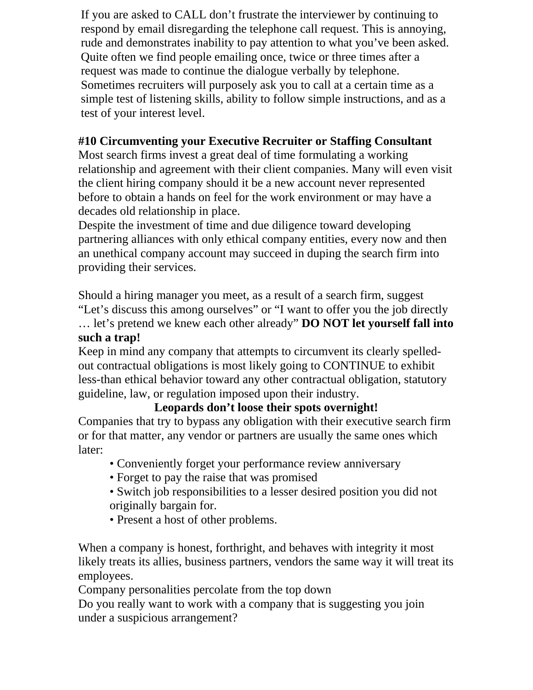If you are asked to CALL don't frustrate the interviewer by continuing to respond by email disregarding the telephone call request. This is annoying, rude and demonstrates inability to pay attention to what you've been asked. Quite often we find people emailing once, twice or three times after a request was made to continue the dialogue verbally by telephone. Sometimes recruiters will purposely ask you to call at a certain time as a simple test of listening skills, ability to follow simple instructions, and as a test of your interest level.

# **#10 Circumventing your Executive Recruiter or Staffing Consultant**

Most search firms invest a great deal of time formulating a working relationship and agreement with their client companies. Many will even visit the client hiring company should it be a new account never represented before to obtain a hands on feel for the work environment or may have a decades old relationship in place.

Despite the investment of time and due diligence toward developing partnering alliances with only ethical company entities, every now and then an unethical company account may succeed in duping the search firm into providing their services.

Should a hiring manager you meet, as a result of a search firm, suggest "Let's discuss this among ourselves" or "I want to offer you the job directly … let's pretend we knew each other already" **DO NOT let yourself fall into such a trap!** 

Keep in mind any company that attempts to circumvent its clearly spelledout contractual obligations is most likely going to CONTINUE to exhibit less-than ethical behavior toward any other contractual obligation, statutory guideline, law, or regulation imposed upon their industry.

# **Leopards don't loose their spots overnight!**

Companies that try to bypass any obligation with their executive search firm or for that matter, any vendor or partners are usually the same ones which later:

- Conveniently forget your performance review anniversary
- Forget to pay the raise that was promised
- Switch job responsibilities to a lesser desired position you did not originally bargain for.
- Present a host of other problems.

When a company is honest, forthright, and behaves with integrity it most likely treats its allies, business partners, vendors the same way it will treat its employees.

Company personalities percolate from the top down

Do you really want to work with a company that is suggesting you join under a suspicious arrangement?